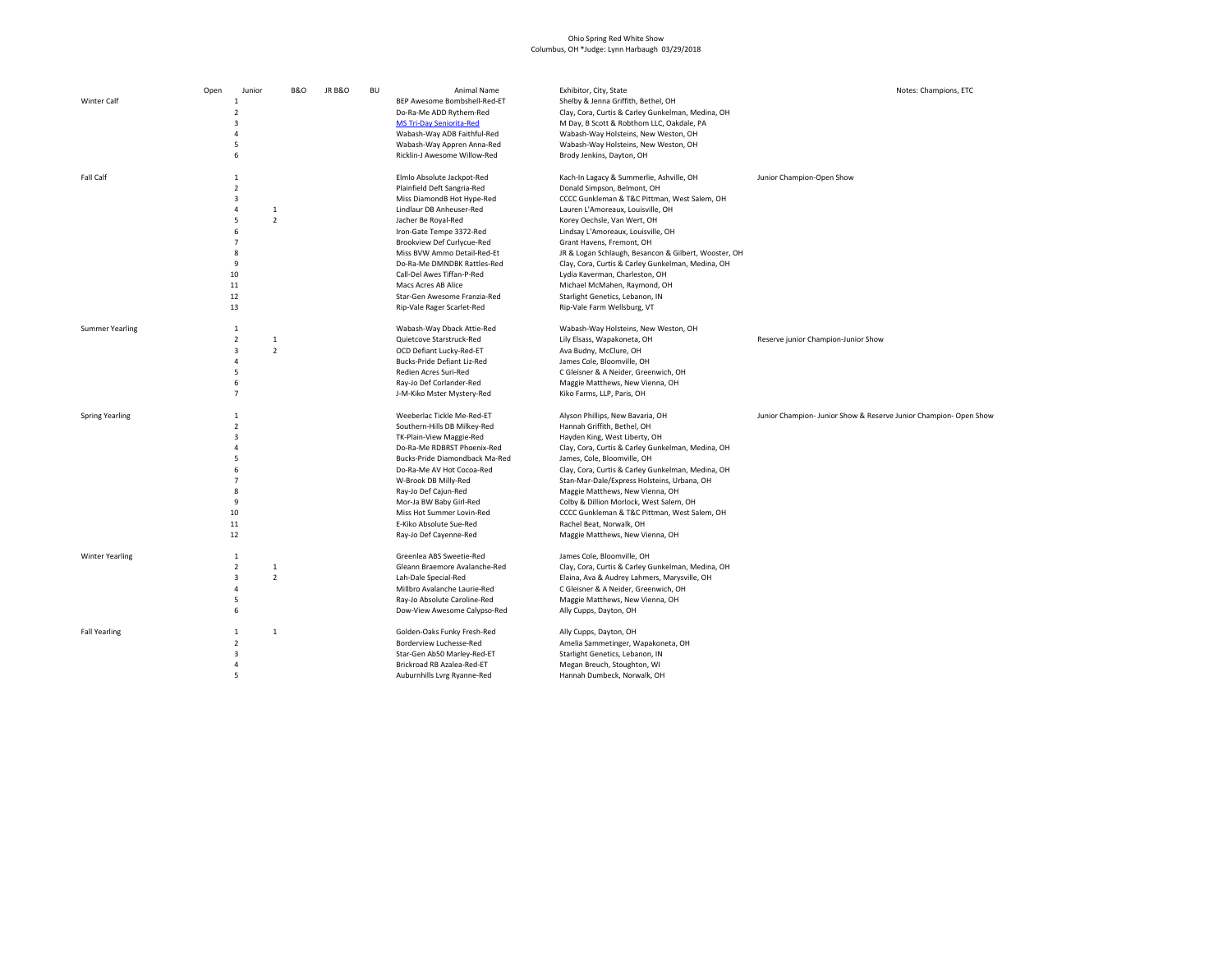## Ohio Spring Red White Show Columbus, OH \*Judge: Lynn Harbaugh 03/29/2018

| <b>Winter Calf</b>     | Open | Junior<br>$\mathbf{1}$<br>$\overline{2}$<br>3<br>4<br>5<br>6                                             | <b>B&amp;O</b>                           | <b>JR B&amp;O</b> | <b>BU</b> | Animal Name<br>BEP Awesome Bombshell-Red-ET<br>Do-Ra-Me ADD Rythem-Red<br><b>MS Tri-Day Seniorita-Red</b><br>Wabash-Way ADB Faithful-Red<br>Wabash-Way Appren Anna-Red<br>Ricklin-J Awesome Willow-Red                                                                                                                                                                                | Exhibitor, City, State<br>Shelby & Jenna Griffith, Bethel, OH<br>Clay, Cora, Curtis & Carley Gunkelman, Medina, OH<br>M Day, B Scott & Robthom LLC, Oakdale, PA<br>Wabash-Way Holsteins, New Weston, OH<br>Wabash-Way Holsteins, New Weston, OH<br>Brody Jenkins, Dayton, OH                                                                                                                                                                                                                                    | Notes: Champions, ETC                                            |
|------------------------|------|----------------------------------------------------------------------------------------------------------|------------------------------------------|-------------------|-----------|---------------------------------------------------------------------------------------------------------------------------------------------------------------------------------------------------------------------------------------------------------------------------------------------------------------------------------------------------------------------------------------|-----------------------------------------------------------------------------------------------------------------------------------------------------------------------------------------------------------------------------------------------------------------------------------------------------------------------------------------------------------------------------------------------------------------------------------------------------------------------------------------------------------------|------------------------------------------------------------------|
| Fall Calf              |      | 1<br>$\overline{2}$<br>3<br>$\overline{4}$<br>5<br>6<br>$\overline{7}$<br>8<br>9<br>10<br>11<br>12<br>13 | $\mathbf{1}$<br>$\overline{\phantom{a}}$ |                   |           | Elmlo Absolute Jackpot-Red<br>Plainfield Deft Sangria-Red<br>Miss DiamondB Hot Hype-Red<br>Lindlaur DB Anheuser-Red<br>Jacher Be Royal-Red<br>Iron-Gate Tempe 3372-Red<br>Brookview Def Curlycue-Red<br>Miss BVW Ammo Detail-Red-Et<br>Do-Ra-Me DMNDBK Rattles-Red<br>Call-Del Awes Tiffan-P-Red<br>Macs Acres AB Alice<br>Star-Gen Awesome Franzia-Red<br>Rip-Vale Rager Scarlet-Red | Kach-In Lagacy & Summerlie, Ashville, OH<br>Donald Simpson, Belmont, OH<br>CCCC Gunkleman & T&C Pittman, West Salem, OH<br>Lauren L'Amoreaux, Louisville, OH<br>Korey Oechsle, Van Wert, OH<br>Lindsay L'Amoreaux, Louisville, OH<br>Grant Havens, Fremont, OH<br>JR & Logan Schlaugh, Besancon & Gilbert, Wooster, OH<br>Clay, Cora, Curtis & Carley Gunkelman, Medina, OH<br>Lydia Kaverman, Charleston, OH<br>Michael McMahen, Raymond, OH<br>Starlight Genetics, Lebanon, IN<br>Rip-Vale Farm Wellsburg, VT | Junior Champion-Open Show                                        |
| <b>Summer Yearling</b> |      | $\mathbf{1}$<br>$\overline{2}$<br>3<br>4<br>5<br>6<br>$\overline{7}$                                     | 1<br>$\overline{2}$                      |                   |           | Wabash-Way Dback Attie-Red<br>Quietcove Starstruck-Red<br>OCD Defiant Lucky-Red-ET<br>Bucks-Pride Defiant Liz-Red<br>Redien Acres Suri-Red<br>Ray-Jo Def Corlander-Red<br>J-M-Kiko Mster Mystery-Red                                                                                                                                                                                  | Wabash-Way Holsteins, New Weston, OH<br>Lily Elsass, Wapakoneta, OH<br>Ava Budny, McClure, OH<br>James Cole, Bloomville, OH<br>C Gleisner & A Neider, Greenwich, OH<br>Maggie Matthews, New Vienna, OH<br>Kiko Farms, LLP, Paris, OH                                                                                                                                                                                                                                                                            | Reserve junior Champion-Junior Show                              |
| <b>Spring Yearling</b> |      | $\mathbf{1}$<br>$\overline{2}$<br>3<br>4<br>5<br>6<br>$\overline{7}$<br>8<br>9<br>10<br>11<br>12         |                                          |                   |           | Weeberlac Tickle Me-Red-ET<br>Southern-Hills DB Milkey-Red<br>TK-Plain-View Maggie-Red<br>Do-Ra-Me RDBRST Phoenix-Red<br>Bucks-Pride Diamondback Ma-Red<br>Do-Ra-Me AV Hot Cocoa-Red<br>W-Brook DB Milly-Red<br>Ray-Jo Def Cajun-Red<br>Mor-Ja BW Baby Girl-Red<br>Miss Hot Summer Lovin-Red<br>E-Kiko Absolute Sue-Red<br>Ray-Jo Def Cayenne-Red                                     | Alyson Phillips, New Bavaria, OH<br>Hannah Griffith, Bethel, OH<br>Hayden King, West Liberty, OH<br>Clay, Cora, Curtis & Carley Gunkelman, Medina, OH<br>James, Cole, Bloomville, OH<br>Clay, Cora, Curtis & Carley Gunkelman, Medina, OH<br>Stan-Mar-Dale/Express Holsteins, Urbana, OH<br>Maggie Matthews, New Vienna, OH<br>Colby & Dillion Morlock, West Salem, OH<br>CCCC Gunkleman & T&C Pittman, West Salem, OH<br>Rachel Beat, Norwalk, OH<br>Maggie Matthews, New Vienna, OH                           | Junior Champion-Junior Show & Reserve Junior Champion- Open Show |
| <b>Winter Yearling</b> |      | $\mathbf{1}$<br>$\overline{2}$<br>3<br>4<br>5<br>6                                                       | $\mathbf 1$<br>$\overline{2}$            |                   |           | Greenlea ABS Sweetie-Red<br>Gleann Braemore Avalanche-Red<br>Lah-Dale Special-Red<br>Millbro Avalanche Laurie-Red<br>Ray-Jo Absolute Caroline-Red<br>Dow-View Awesome Calypso-Red                                                                                                                                                                                                     | James Cole, Bloomville, OH<br>Clay, Cora, Curtis & Carley Gunkelman, Medina, OH<br>Elaina, Ava & Audrey Lahmers, Marysville, OH<br>C Gleisner & A Neider, Greenwich, OH<br>Maggie Matthews, New Vienna, OH<br>Ally Cupps, Dayton, OH                                                                                                                                                                                                                                                                            |                                                                  |
| <b>Fall Yearling</b>   |      | $\mathbf{1}$<br>$\overline{2}$<br>3<br>4<br>5                                                            | 1                                        |                   |           | Golden-Oaks Funky Fresh-Red<br>Borderview Luchesse-Red<br>Star-Gen Ab50 Marley-Red-ET<br>Brickroad RB Azalea-Red-ET<br>Auburnhills Lvrg Ryanne-Red                                                                                                                                                                                                                                    | Ally Cupps, Dayton, OH<br>Amelia Sammetinger, Wapakoneta, OH<br>Starlight Genetics, Lebanon, IN<br>Megan Breuch, Stoughton, WI<br>Hannah Dumbeck, Norwalk, OH                                                                                                                                                                                                                                                                                                                                                   |                                                                  |